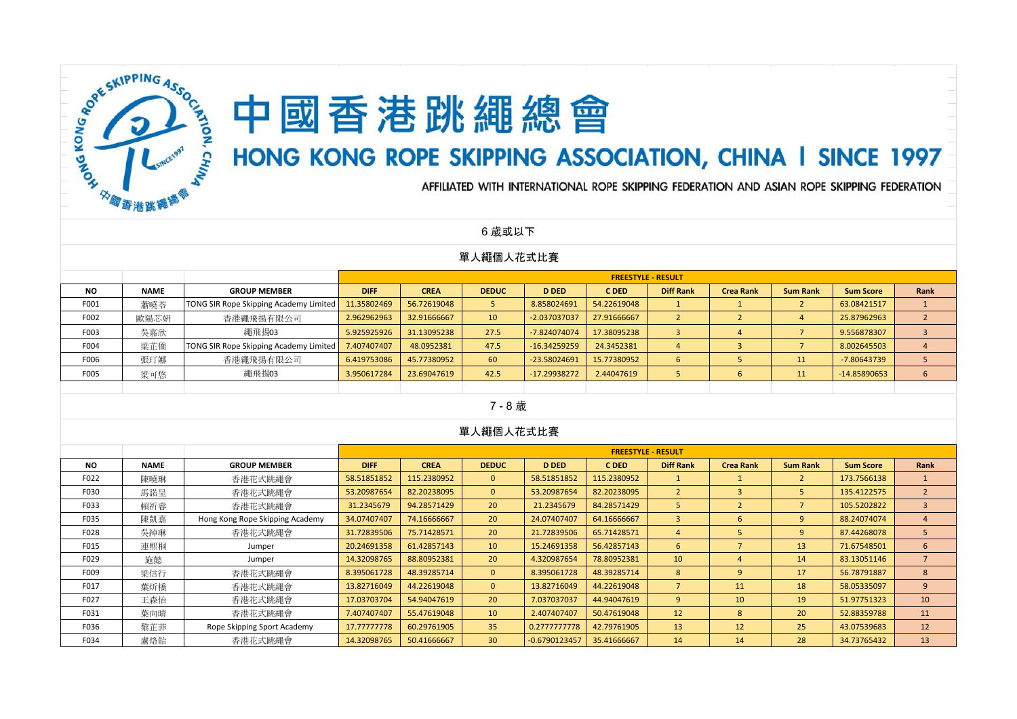

# 中國香港跳繩總會

# HONG KONG ROPE SKIPPING ASSOCIATION, CHINA I SINCE 1997

AFFILIATED WITH INTERNATIONAL ROPE SKIPPING FEDERATION AND ASIAN ROPE SKIPPING FEDERATION

6 歲或以下

#### 單人繩個人花式比賽

|           |             |                                               |             |             |                 |                |             | <b>FREESTYLE - RESULT</b> |                  |                 |                  |      |
|-----------|-------------|-----------------------------------------------|-------------|-------------|-----------------|----------------|-------------|---------------------------|------------------|-----------------|------------------|------|
| <b>NO</b> | <b>NAME</b> | <b>GROUP MEMBER</b>                           | <b>DIFF</b> | <b>CREA</b> | <b>DEDUC</b>    | <b>D DED</b>   | C DED       | <b>Diff Rank</b>          | <b>Crea Rank</b> | <b>Sum Rank</b> | <b>Sum Score</b> | Rank |
| F001      | 蕭曉苓         | <b>TONG SIR Rope Skipping Academy Limited</b> | 11.35802469 | 56.72619048 |                 | 8.858024691    | 54.22619048 |                           |                  |                 | 63.08421517      |      |
| F002      | 歐陽芯妍        | 香港繩飛揚有限公司                                     | 2.962962963 | 32.91666667 | 10 <sup>°</sup> | -2.037037037   | 27.91666667 |                           |                  | 4               | 25.87962963      |      |
| F003      | 吳嘉欣         | 繩飛揚03                                         | 5.925925926 | 31.13095238 | 27.5            | -7.824074074   | 17.38095238 |                           |                  |                 | 9.556878307      |      |
| F004      | 梁芷僑         | <b>TONG SIR Rope Skipping Academy Limited</b> | 7.407407407 | 48.0952381  | 47.5            | $-16.34259259$ | 24.3452381  |                           |                  |                 | 8.002645503      |      |
| F006      | 張玎娜         | 香港繩飛揚有限公司                                     | 6.419753086 | 45.77380952 | 60              | -23.58024691   | 15.77380952 | ь                         |                  | 11              | -7.80643739      |      |
| F005      | 梁可悠         | 繩飛揚03                                         | 3.950617284 | 23.69047619 | 42.5            | $-17.29938272$ | 2.44047619  |                           |                  | 11              | $-14.85890653$   | 6    |
|           |             |                                               |             |             |                 |                |             |                           |                  |                 |                  |      |

#### 7 - 8 歲

|           |             |                                 |             |             |                 |                 | <b>FREESTYLE - RESULT</b> |                  |                  |                 |                  |                |
|-----------|-------------|---------------------------------|-------------|-------------|-----------------|-----------------|---------------------------|------------------|------------------|-----------------|------------------|----------------|
| <b>NO</b> | <b>NAME</b> | <b>GROUP MEMBER</b>             | <b>DIFF</b> | <b>CREA</b> | <b>DEDUC</b>    | <b>D DED</b>    | C DED                     | <b>Diff Rank</b> | <b>Crea Rank</b> | <b>Sum Rank</b> | <b>Sum Score</b> | Rank           |
| F022      | 陳曉琳         | 香港花式跳繩會                         | 58.51851852 | 115.2380952 | $\mathbf{0}$    | 58.51851852     | 115.2380952               |                  |                  |                 | 173.7566138      |                |
| F030      | 馬諾呈         | 香港花式跳繩會                         | 53.20987654 | 82.20238095 | $\mathbf{0}$    | 53.20987654     | 82.20238095               | $\overline{2}$   | 3                |                 | 135.4122575      | $\overline{2}$ |
| F033      | 賴祈睿         | 香港花式跳繩會                         | 31.2345679  | 94.28571429 | 20 <sup>°</sup> | 21.2345679      | 84.28571429               | $\overline{5}$   | $\overline{2}$   |                 | 105.5202822      | $\overline{3}$ |
| F035      | 陳凱嘉         | Hong Kong Rope Skipping Academy | 34.07407407 | 74.16666667 | 20 <sup>°</sup> | 24.07407407     | 64.16666667               | $\overline{3}$   | 6                | 9 <sup>°</sup>  | 88.24074074      | 4              |
| F028      | 吳綽琳         | 香港花式跳繩會                         | 31.72839506 | 75.71428571 | 20 <sup>°</sup> | 21.72839506     | 65.71428571               | $\overline{4}$   | 5                | 9               | 87.44268078      | 5              |
| F015      | 連熙桐         | Jumper                          | 20.24691358 | 61.42857143 | 10 <sup>°</sup> | 15.24691358     | 56.42857143               | 6                |                  | 13              | 71.67548501      | 6              |
| F029      | 施懿          | Jumper                          | 14.32098765 | 88.80952381 | 20 <sup>°</sup> | 4.320987654     | 78.80952381               | 10               | 4                | 14              | 83.13051146      |                |
| F009      | 梁信行         | 香港花式跳繩會                         | 8.395061728 | 48.39285714 | $\mathbf{0}$    | 8.395061728     | 48.39285714               | 8                | 9                | 17              | 56.78791887      | 8              |
| F017      | 葉炘橋         | 香港花式跳繩會                         | 13.82716049 | 44.22619048 | $\mathbf{0}$    | 13.82716049     | 44.22619048               | $\overline{7}$   | 11               | 18              | 58.05335097      | 9              |
| F027      | 王森怡         | 香港花式跳繩會                         | 17.03703704 | 54.94047619 | 20 <sup>°</sup> | 7.037037037     | 44.94047619               | 9                | 10               | 19              | 51.97751323      | 10             |
| F031      | 葉向晴         | 香港花式跳繩會                         | 7.407407407 | 55.47619048 | 10 <sup>°</sup> | 2.407407407     | 50.47619048               | 12               | 8                | 20              | 52.88359788      | 11             |
| F036      | 黎芷菲         | Rope Skipping Sport Academy     | 17.77777778 | 60.29761905 | 35              | 0.2777777778    | 42.79761905               | 13               | 12               | 25              | 43.07539683      | 12             |
| F034      | 盧烙飴         | 香港花式跳繩會                         | 14.32098765 | 50.41666667 | 30 <sup>°</sup> | $-0.6790123457$ | 35.41666667               | 14               | 14               | 28              | 34.73765432      | 13             |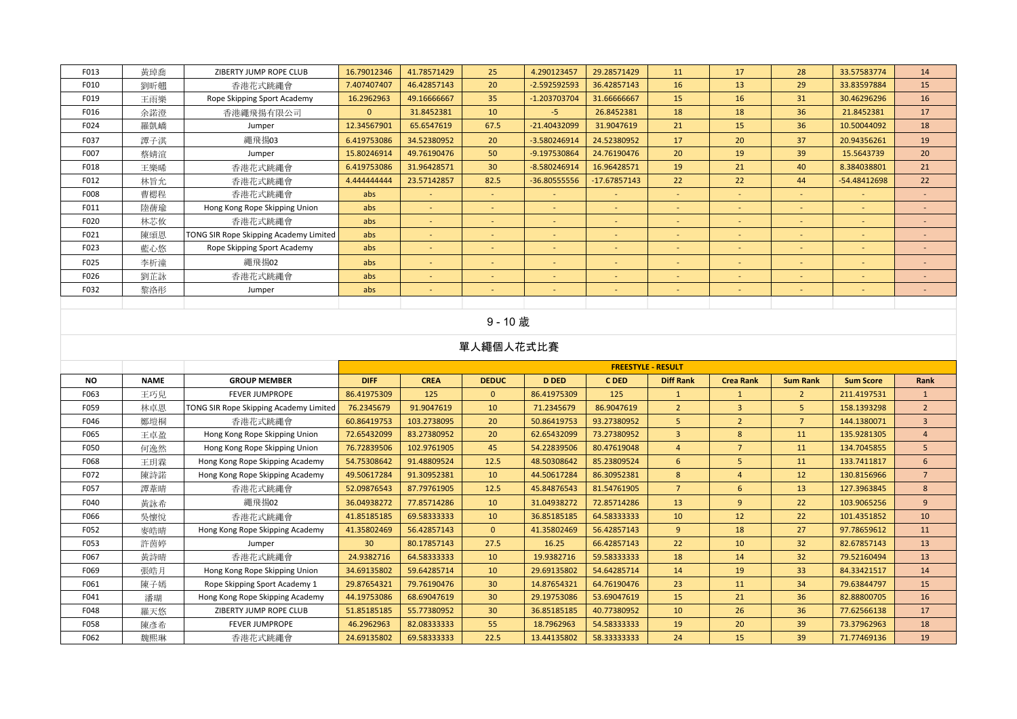| F013 | 黃琸喬 | ZIBERTY JUMP ROPE CLUB                 | 16.79012346 | 41.78571429 | 25                       | 4.290123457              | 29.28571429    | 11                       | 17         | 28                       | 33.57583774              | 14     |
|------|-----|----------------------------------------|-------------|-------------|--------------------------|--------------------------|----------------|--------------------------|------------|--------------------------|--------------------------|--------|
| F010 | 劉昕翹 | 香港花式跳繩會                                | 7.407407407 | 46.42857143 | 20                       | $-2.592592593$           | 36.42857143    | 16                       | 13         | 29                       | 33.83597884              | 15     |
| F019 | 王雨樂 | Rope Skipping Sport Academy            | 16.2962963  | 49.16666667 | 35                       | -1.203703704             | 31.66666667    | 15                       | 16         | 31                       | 30.46296296              | 16     |
| F016 | 余諾澄 | 香港繩飛揚有限公司                              | $\Omega$    | 31.8452381  | 10                       | $-5$                     | 26.8452381     | 18                       | 18         | 36                       | 21.8452381               | 17     |
| F024 | 羅凱嶠 | Jumper                                 | 12.34567901 | 65.6547619  | 67.5                     | $-21.40432099$           | 31.9047619     | 21                       | 15         | 36                       | 10.50044092              | 18     |
| F037 | 譚子淇 | 繩飛揚03                                  | 6.419753086 | 34.52380952 | 20                       | $-3.580246914$           | 24.52380952    | 17                       | 20         | 37                       | 20.94356261              | 19     |
| F007 | 蔡婧渲 | Jumper                                 | 15.80246914 | 49.76190476 | 50                       | -9.197530864             | 24.76190476    | 20                       | 19         | 39                       | 15.5643739               | 20     |
| F018 | 王樂晞 | 香港花式跳繩會                                | 6.419753086 | 31.96428571 | 30 <sup>°</sup>          | $-8.580246914$           | 16.96428571    | 19                       | 21         | 40                       | 8.384038801              | 21     |
| F012 | 林旨允 | 香港花式跳繩會                                | 4.444444444 | 23.57142857 | 82.5                     | -36.80555556             | $-17.67857143$ | 22                       | 22         | 44                       | -54.48412698             | 22     |
| F008 | 曹楒程 | 香港花式跳繩會                                | abs         | ٠           | $\sim$                   |                          | $\sim$         | $\sim$                   | <b>100</b> | $\overline{\phantom{a}}$ | $\overline{\phantom{a}}$ |        |
| F011 | 陸蒨瑜 | Hong Kong Rope Skipping Union          | abs         | $\sim$      |                          |                          | <b>COL</b>     | $\overline{\phantom{a}}$ | <b>100</b> |                          | $\overline{\phantom{a}}$ |        |
| F020 | 林芯攸 | 香港花式跳繩會                                | abs         | $\sim$      | $\sim$                   |                          |                | $\overline{\phantom{a}}$ | $\sim$     |                          | $\overline{\phantom{a}}$ |        |
| F021 | 陳頌恩 | TONG SIR Rope Skipping Academy Limited | abs         | н.          | $\sim$                   | $\overline{\phantom{a}}$ |                | <b>.</b>                 | $\sim$     |                          |                          |        |
| F023 | 藍心悠 | Rope Skipping Sport Academy            | abs         | ٠           | $\sim$                   |                          | <b>COL</b>     | $\sim$                   | $\sim$     |                          | $\overline{\phantom{a}}$ |        |
| F025 | 李析潼 | 繩飛揚02                                  | abs         | ٠           |                          |                          | $\sim$         | $\overline{\phantom{a}}$ | <b>100</b> |                          | ٠                        |        |
| F026 | 劉芷詠 | 香港花式跳繩會                                | abs         | $\sim$      | $\sim$                   | $\sim$                   | $\sim$         | $\overline{\phantom{a}}$ | $\sim$     | $\sim$                   | $\overline{\phantom{a}}$ | $\sim$ |
| F032 | 黎洛彤 | Jumper                                 | abs         | $\sim$      | $\overline{\phantom{a}}$ | $\sim$                   | $\sim$         | $\overline{\phantom{0}}$ | $\sim$     | $\overline{\phantom{a}}$ | ٠                        | $\sim$ |
|      |     |                                        |             |             |                          |                          |                |                          |            |                          |                          |        |

#### 9 - 10 歲

|      |             |                                        |                 |             |                 |              | <b>FREESTYLE - RESULT</b> |                  |                  |                 |                  |                |
|------|-------------|----------------------------------------|-----------------|-------------|-----------------|--------------|---------------------------|------------------|------------------|-----------------|------------------|----------------|
| NO.  | <b>NAME</b> | <b>GROUP MEMBER</b>                    | <b>DIFF</b>     | <b>CREA</b> | <b>DEDUC</b>    | <b>D DED</b> | C DED                     | <b>Diff Rank</b> | <b>Crea Rank</b> | <b>Sum Rank</b> | <b>Sum Score</b> | Rank           |
| F063 | 王巧兒         | <b>FEVER JUMPROPE</b>                  | 86.41975309     | 125         | $\Omega$        | 86.41975309  | 125                       | 1                | $\mathbf{1}$     | $\overline{2}$  | 211.4197531      | -1             |
| F059 | 林卓恩         | TONG SIR Rope Skipping Academy Limited | 76.2345679      | 91.9047619  | 10              | 71.2345679   | 86.9047619                | $\overline{2}$   | 3                | 5.              | 158.1393298      | $\overline{2}$ |
| F046 | 鄭塏桐         | 香港花式跳繩會                                | 60.86419753     | 103.2738095 | 20              | 50.86419753  | 93.27380952               | 5 <sup>5</sup>   | $\overline{2}$   | $\overline{7}$  | 144.1380071      | $\overline{3}$ |
| F065 | 王卓盈         | Hong Kong Rope Skipping Union          | 72.65432099     | 83.27380952 | 20              | 62.65432099  | 73.27380952               | $\overline{3}$   | 8                | 11              | 135.9281305      | $\overline{4}$ |
| F050 | 何逸然         | Hong Kong Rope Skipping Union          | 76.72839506     | 102.9761905 | 45              | 54.22839506  | 80.47619048               | $\overline{4}$   | $\overline{7}$   | 11              | 134.7045855      | 5              |
| F068 | 王玥霖         | Hong Kong Rope Skipping Academy        | 54.75308642     | 91.48809524 | 12.5            | 48.50308642  | 85.23809524               | 6                | 5                | 11              | 133.7411817      | 6              |
| F072 | 陳詩諾         | Hong Kong Rope Skipping Academy        | 49.50617284     | 91.30952381 | 10              | 44.50617284  | 86.30952381               | 8                | $\overline{a}$   | 12              | 130.8156966      | $\overline{7}$ |
| F057 | 譚葦晴         | 香港花式跳繩會                                | 52.09876543     | 87.79761905 | 12.5            | 45.84876543  | 81.54761905               | $\overline{7}$   | 6                | 13              | 127.3963845      | 8              |
| F040 | 黃詠希         | 繩飛揚02                                  | 36.04938272     | 77.85714286 | 10              | 31.04938272  | 72.85714286               | 13               | 9                | 22              | 103.9065256      | 9              |
| F066 | 吳懷悅         | 香港花式跳繩會                                | 41.85185185     | 69.58333333 | 10              | 36.85185185  | 64.58333333               | 10               | 12               | 22              | 101.4351852      | 10             |
| F052 | 麥皓晴         | Hong Kong Rope Skipping Academy        | 41.35802469     | 56.42857143 | $\overline{0}$  | 41.35802469  | 56.42857143               | 9                | 18               | 27              | 97.78659612      | 11             |
| F053 | 許茵婷         | Jumper                                 | 30 <sup>°</sup> | 80.17857143 | 27.5            | 16.25        | 66.42857143               | 22               | 10               | 32 <sup>2</sup> | 82.67857143      | 13             |
| F067 | 黃詩晴         | 香港花式跳繩會                                | 24.9382716      | 64.58333333 | 10              | 19.9382716   | 59.58333333               | 18               | 14               | 32              | 79.52160494      | 13             |
| F069 | 張皓月         | Hong Kong Rope Skipping Union          | 34.69135802     | 59.64285714 | 10              | 29.69135802  | 54.64285714               | 14               | 19               | 33              | 84.33421517      | 14             |
| F061 | 陳子嫣         | Rope Skipping Sport Academy 1          | 29.87654321     | 79.76190476 | 30 <sup>°</sup> | 14.87654321  | 64.76190476               | 23               | 11               | 34              | 79.63844797      | 15             |
| F041 | 潘瑚          | Hong Kong Rope Skipping Academy        | 44.19753086     | 68.69047619 | 30 <sup>°</sup> | 29.19753086  | 53.69047619               | 15               | 21               | 36              | 82.88800705      | 16             |
| F048 | 羅天悠         | ZIBERTY JUMP ROPE CLUB                 | 51.85185185     | 55.77380952 | 30 <sup>°</sup> | 36.85185185  | 40.77380952               | 10               | 26               | 36              | 77.62566138      | 17             |
| F058 | 陳彥希         | <b>FEVER JUMPROPE</b>                  | 46.2962963      | 82.08333333 | 55              | 18.7962963   | 54.58333333               | 19               | 20               | 39              | 73.37962963      | 18             |
| F062 | 魏熙琳         | 香港花式跳繩會                                | 24.69135802     | 69.58333333 | 22.5            | 13.44135802  | 58.33333333               | 24               | 15               | 39              | 71.77469136      | 19             |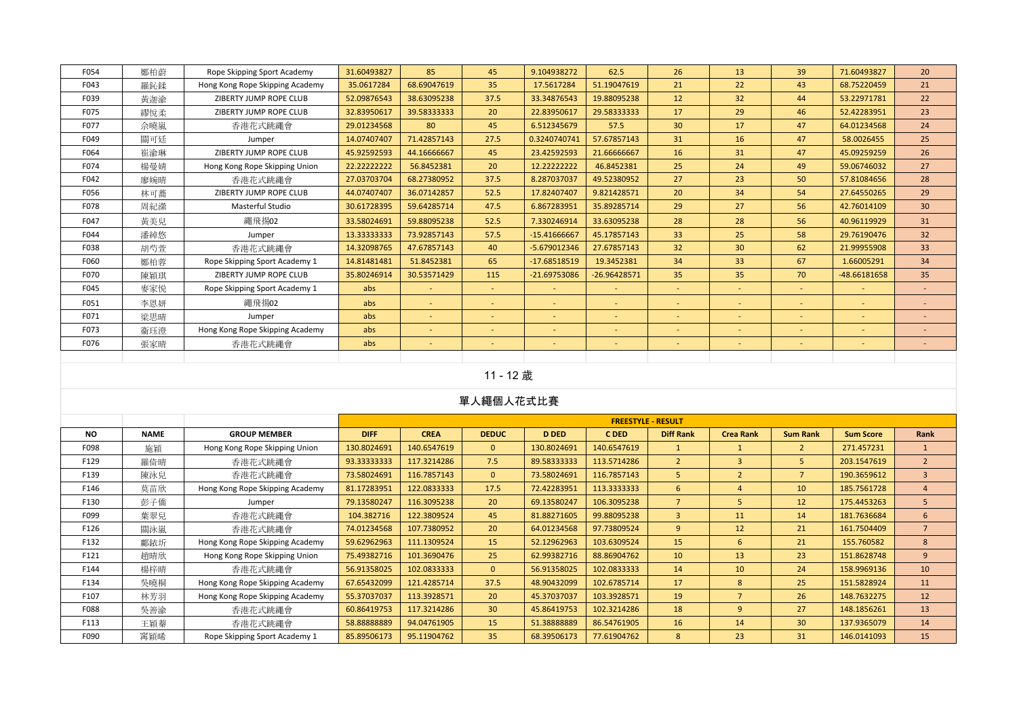| F054 | 鄭柏蔚 | Rope Skipping Sport Academy     | 31.60493827  | 85          | 45                       | 9.104938272              | 62.5           | 26              | 13              | 39     | 71.60493827              | 20              |
|------|-----|---------------------------------|--------------|-------------|--------------------------|--------------------------|----------------|-----------------|-----------------|--------|--------------------------|-----------------|
| F043 | 羅鈊鍒 | Hong Kong Rope Skipping Academy | 35.0617284   | 68.69047619 | 35                       | 17.5617284               | 51.19047619    | 21              | 22              | 43     | 68.75220459              | 21              |
| F039 | 黃迦渝 | ZIBERTY JUMP ROPE CLUB          | 52.09876543  | 38.63095238 | 37.5                     | 33.34876543              | 19.88095238    | 12              | 32 <sup>2</sup> | 44     | 53.22971781              | 22              |
| F075 | 繆悅柔 | ZIBERTY JUMP ROPE CLUB          | 32.83950617  | 39.58333333 | 20                       | 22.83950617              | 29.58333333    | 17              | 29              | 46     | 52.42283951              | 23              |
| F077 | 佘曉嵐 | 香港花式跳繩會                         | 29.01234568  | 80          | 45                       | 6.512345679              | 57.5           | 30 <sup>°</sup> | 17              | 47     | 64.01234568              | 24              |
| F049 | 關可廷 | Jumper                          | 14.07407407  | 71.42857143 | 27.5                     | 0.3240740741             | 57.67857143    | 31              | 16              | 47     | 58.0026455               | 25              |
| F064 | 崔渝琳 | ZIBERTY JUMP ROPE CLUB          | 45.92592593  | 44.16666667 | 45                       | 23.42592593              | 21.66666667    | 16              | 31              | 47     | 45.09259259              | 26              |
| F074 | 楊曼婧 | Hong Kong Rope Skipping Union   | 22.222222222 | 56.8452381  | 20                       | 12.22222222              | 46.8452381     | 25              | 24              | 49     | 59.06746032              | 27              |
| F042 | 廖婉晴 | 香港花式跳繩會                         | 27.03703704  | 68.27380952 | 37.5                     | 8.287037037              | 49.52380952    | 27              | 23              | 50     | 57.81084656              | 28              |
| F056 | 林可蕎 | ZIBERTY JUMP ROPE CLUB          | 44.07407407  | 36.07142857 | 52.5                     | 17.82407407              | 9.821428571    | 20              | 34              | 54     | 27.64550265              | 29              |
| F078 | 周紀潫 | <b>Masterful Studio</b>         | 30.61728395  | 59.64285714 | 47.5                     | 6.867283951              | 35.89285714    | 29              | 27              | 56     | 42.76014109              | 30 <sup>°</sup> |
| F047 | 黃美兒 | 繩飛揚02                           | 33.58024691  | 59.88095238 | 52.5                     | 7.330246914              | 33.63095238    | 28              | 28              | 56     | 40.96119929              | 31              |
| F044 | 潘綽悠 | Jumper                          | 13.33333333  | 73.92857143 | 57.5                     | $-15.41666667$           | 45.17857143    | 33              | 25              | 58     | 29.76190476              | 32              |
| F038 | 胡芍萱 | 香港花式跳繩會                         | 14.32098765  | 47.67857143 | 40                       | -5.679012346             | 27.67857143    | 32              | 30 <sup>°</sup> | 62     | 21.99955908              | 33 <sup>3</sup> |
| F060 | 鄭柏蓉 | Rope Skipping Sport Academy 1   | 14.81481481  | 51.8452381  | 65                       | $-17.68518519$           | 19.3452381     | 34              | 33              | 67     | 1.66005291               | 34              |
| F070 | 陳穎琪 | ZIBERTY JUMP ROPE CLUB          | 35.80246914  | 30.53571429 | 115                      | -21.69753086             | $-26.96428571$ | 35              | 35              | 70     | -48.66181658             | 35              |
| F045 | 麥家悦 | Rope Skipping Sport Academy 1   | abs          | $\sim$      | $\sim$                   | $\sim$                   | $\sim$         | $\sim$          | $\sim$          | $\sim$ | $\sim$                   | н.              |
| F051 | 李恩妍 | 繩飛揚02                           | abs          | ÷.          | . .                      | $\sim$                   | $\sim$         | $\sim$          | ÷.              |        | $\overline{\phantom{a}}$ |                 |
| F071 | 梁思晴 | Jumper                          | abs          | $\sim$      | $\sim$                   | $\sim$                   | $\sim$         | $\sim$          | ÷.              | $\sim$ | $\sim$                   | $\sim$          |
| F073 | 衞珏澄 | Hong Kong Rope Skipping Academy | abs          | $\sim$      | $\overline{\phantom{a}}$ | $\overline{\phantom{a}}$ | $\sim$         | $\sim$          | $\sim$          |        | $\sim$                   |                 |
| F076 | 張家晴 | 香港花式跳繩會                         | abs          | ÷.          | $\sim$                   | $\sim$                   | $\sim$         | $\sim$          | ٠               | $\sim$ | $\sim$                   | <b>College</b>  |
|      |     |                                 |              |             |                          |                          |                |                 |                 |        |                          |                 |

## 11 - 12 歲

|           |             |                                 |             |             |                 |              | <b>FREESTYLE - RESULT</b> |                  |                  |                 |                  |                |
|-----------|-------------|---------------------------------|-------------|-------------|-----------------|--------------|---------------------------|------------------|------------------|-----------------|------------------|----------------|
| <b>NO</b> | <b>NAME</b> | <b>GROUP MEMBER</b>             | <b>DIFF</b> | <b>CREA</b> | <b>DEDUC</b>    | <b>D DED</b> | C DED                     | <b>Diff Rank</b> | <b>Crea Rank</b> | <b>Sum Rank</b> | <b>Sum Score</b> | Rank           |
| F098      | 施穎          | Hong Kong Rope Skipping Union   | 130.8024691 | 140.6547619 | $\mathbf{0}$    | 130.8024691  | 140.6547619               |                  |                  |                 | 271.457231       |                |
| F129      | 羅倚晴         | 香港花式跳繩會                         | 93.33333333 | 117.3214286 | 7.5             | 89.58333333  | 113.5714286               | $\overline{2}$   | $\mathbf{3}$     | 5               | 203.1547619      | $\overline{2}$ |
| F139      | 陳泳兒         | 香港花式跳繩會                         | 73.58024691 | 116.7857143 | $\mathbf{0}$    | 73.58024691  | 116.7857143               | 5                | $\overline{2}$   | $\overline{7}$  | 190.3659612      | $\overline{3}$ |
| F146      | 莫苗欣         | Hong Kong Rope Skipping Academy | 81.17283951 | 122.0833333 | 17.5            | 72.42283951  | 113.3333333               | 6                | $\overline{a}$   | 10              | 185.7561728      | $\overline{4}$ |
| F130      | 彭子僑         | Jumper                          | 79.13580247 | 116.3095238 | 20              | 69.13580247  | 106.3095238               | $\overline{7}$   | 5                | 12              | 175.4453263      | 5              |
| F099      | 葉翠兒         | 香港花式跳繩會                         | 104.382716  | 122.3809524 | 45              | 81.88271605  | 99.88095238               | 3                | 11               | 14              | 181.7636684      | 6              |
| F126      | 關泳嵐         | 香港花式跳繩會                         | 74.01234568 | 107.7380952 | 20              | 64.01234568  | 97.73809524               | 9                | 12               | 21              | 161.7504409      | $\overline{7}$ |
| F132      | 鄺銥圻         | Hong Kong Rope Skipping Academy | 59.62962963 | 111.1309524 | 15              | 52.12962963  | 103.6309524               | 15               | 6                | 21              | 155.760582       | 8              |
| F121      | 趙晴欣         | Hong Kong Rope Skipping Union   | 75.49382716 | 101.3690476 | 25              | 62.99382716  | 88.86904762               | 10               | 13               | 23              | 151.8628748      | 9 <sup>°</sup> |
| F144      | 楊梓晴         | 香港花式跳繩會                         | 56.91358025 | 102.0833333 | $\mathbf{0}$    | 56.91358025  | 102.0833333               | 14               | 10               | 24              | 158.9969136      | 10             |
| F134      | 吳曉桐         | Hong Kong Rope Skipping Academy | 67.65432099 | 121.4285714 | 37.5            | 48.90432099  | 102.6785714               | 17               | 8                | 25              | 151.5828924      | 11             |
| F107      | 林芳羽         | Hong Kong Rope Skipping Academy | 55.37037037 | 113.3928571 | 20              | 45.37037037  | 103.3928571               | 19               |                  | 26              | 148.7632275      | 12             |
| F088      | 吳善渝         | 香港花式跳繩會                         | 60.86419753 | 117.3214286 | 30 <sup>°</sup> | 45.86419753  | 102.3214286               | 18               | 9                | 27              | 148.1856261      | 13             |
| F113      | 王穎蓁         | 香港花式跳繩會                         | 58.88888889 | 94.04761905 | 15              | 51.38888889  | 86.54761905               | 16               | 14               | 30 <sup>°</sup> | 137.9365079      | 14             |
| F090      | 窜穎晞         | Rope Skipping Sport Academy 1   | 85.89506173 | 95.11904762 | 35              | 68.39506173  | 77.61904762               | 8                | 23               | 31              | 146.0141093      | 15             |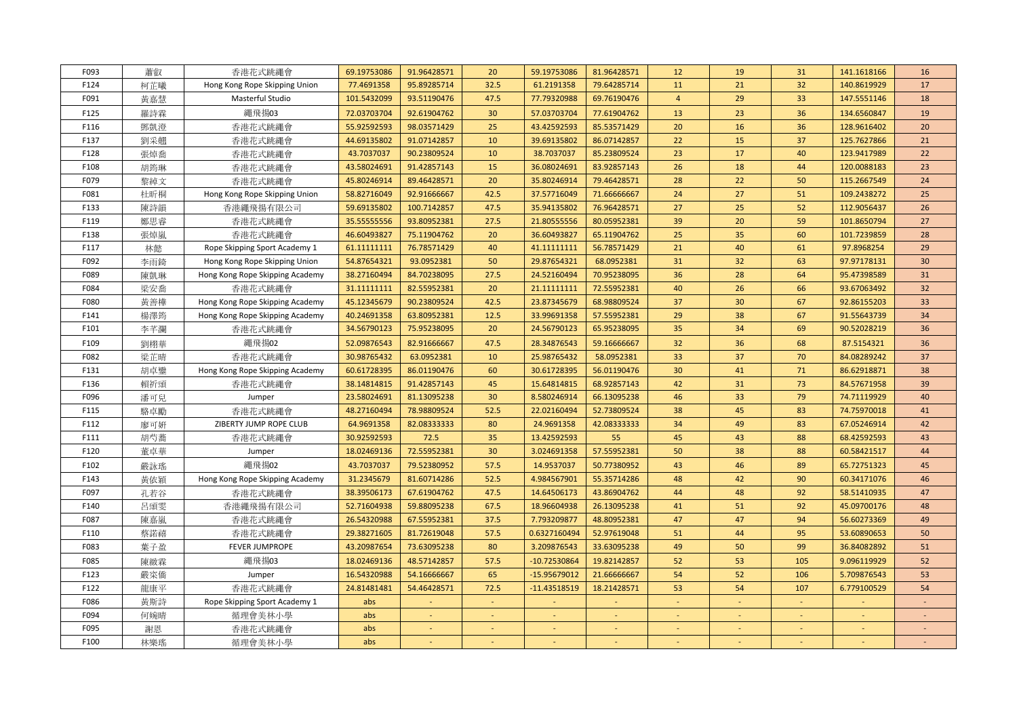| F093 | 蕭叡  | 香港花式跳繩會                         | 69.19753086  | 91.96428571 | 20                       | 59.19753086  | 81.96428571 | 12             | 19             | 31     | 141.1618166    | 16     |
|------|-----|---------------------------------|--------------|-------------|--------------------------|--------------|-------------|----------------|----------------|--------|----------------|--------|
| F124 | 柯芷曦 | Hong Kong Rope Skipping Union   | 77.4691358   | 95.89285714 | 32.5                     | 61.2191358   | 79.64285714 | 11             | 21             | 32     | 140.8619929    | 17     |
| F091 | 黃嘉慧 | Masterful Studio                | 101.5432099  | 93.51190476 | 47.5                     | 77.79320988  | 69.76190476 | $\overline{4}$ | 29             | 33     | 147.5551146    | 18     |
| F125 | 羅詩霖 | 繩飛揚03                           | 72.03703704  | 92.61904762 | 30                       | 57.03703704  | 77.61904762 | 13             | 23             | 36     | 134.6560847    | 19     |
| F116 | 鄧凱澄 | 香港花式跳繩會                         | 55.92592593  | 98.03571429 | 25                       | 43.42592593  | 85.53571429 | 20             | 16             | 36     | 128.9616402    | 20     |
| F137 | 劉采翹 | 香港花式跳繩會                         | 44.69135802  | 91.07142857 | 10                       | 39.69135802  | 86.07142857 | 22             | 15             | 37     | 125.7627866    | 21     |
| F128 | 張焯喬 | 香港花式跳繩會                         | 43.7037037   | 90.23809524 | 10                       | 38.7037037   | 85.23809524 | 23             | 17             | 40     | 123.9417989    | 22     |
| F108 | 胡筠琳 | 香港花式跳繩會                         | 43.58024691  | 91.42857143 | 15                       | 36.08024691  | 83.92857143 | 26             | 18             | 44     | 120.0088183    | 23     |
| F079 | 黎綽文 | 香港花式跳繩會                         | 45.80246914  | 89.46428571 | 20                       | 35.80246914  | 79.46428571 | 28             | 22             | 50     | 115.2667549    | 24     |
| F081 | 杜昕桐 | Hong Kong Rope Skipping Union   | 58.82716049  | 92.91666667 | 42.5                     | 37.57716049  | 71.66666667 | 24             | 27             | 51     | 109.2438272    | 25     |
| F133 | 陳詩韻 | 香港繩飛揚有限公司                       | 59.69135802  | 100.7142857 | 47.5                     | 35.94135802  | 76.96428571 | 27             | 25             | 52     | 112.9056437    | 26     |
| F119 | 鄭思睿 | 香港花式跳繩會                         | 35.55555556  | 93.80952381 | 27.5                     | 21.80555556  | 80.05952381 | 39             | 20             | 59     | 101.8650794    | 27     |
| F138 | 張焯嵐 | 香港花式跳繩會                         | 46.60493827  | 75.11904762 | 20                       | 36.60493827  | 65.11904762 | 25             | 35             | 60     | 101.7239859    | 28     |
| F117 | 林懿  | Rope Skipping Sport Academy 1   | 61.11111111  | 76.78571429 | 40                       | 41.11111111  | 56.78571429 | 21             | 40             | 61     | 97.8968254     | 29     |
| F092 | 李雨錡 | Hong Kong Rope Skipping Union   | 54.87654321  | 93.0952381  | 50                       | 29.87654321  | 68.0952381  | 31             | 32             | 63     | 97.97178131    | 30     |
| F089 | 陳凱琳 | Hong Kong Rope Skipping Academy | 38.27160494  | 84.70238095 | 27.5                     | 24.52160494  | 70.95238095 | 36             | 28             | 64     | 95.47398589    | 31     |
| F084 | 梁安喬 | 香港花式跳繩會                         | 31.111111111 | 82.55952381 | 20                       | 21.11111111  | 72.55952381 | 40             | 26             | 66     | 93.67063492    | 32     |
| F080 | 黃善樺 | Hong Kong Rope Skipping Academy | 45.12345679  | 90.23809524 | 42.5                     | 23.87345679  | 68.98809524 | 37             | 30             | 67     | 92.86155203    | 33     |
| F141 | 楊澤筠 | Hong Kong Rope Skipping Academy | 40.24691358  | 63.80952381 | 12.5                     | 33.99691358  | 57.55952381 | 29             | 38             | 67     | 91.55643739    | 34     |
| F101 | 李芊瀾 | 香港花式跳繩會                         | 34.56790123  | 75.95238095 | 20                       | 24.56790123  | 65.95238095 | 35             | 34             | 69     | 90.52028219    | 36     |
| F109 | 劉栩華 | 繩飛揚02                           | 52.09876543  | 82.91666667 | 47.5                     | 28.34876543  | 59.16666667 | 32             | 36             | 68     | 87.5154321     | 36     |
| F082 | 梁芷晴 | 香港花式跳繩會                         | 30.98765432  | 63.0952381  | 10                       | 25.98765432  | 58.0952381  | 33             | 37             | 70     | 84.08289242    | 37     |
| F131 | 胡卓鑾 | Hong Kong Rope Skipping Academy | 60.61728395  | 86.01190476 | 60                       | 30.61728395  | 56.01190476 | 30             | 41             | 71     | 86.62918871    | 38     |
| F136 | 賴祈頌 | 香港花式跳繩會                         | 38.14814815  | 91.42857143 | 45                       | 15.64814815  | 68.92857143 | 42             | 31             | 73     | 84.57671958    | 39     |
| F096 | 潘可兒 | Jumper                          | 23.58024691  | 81.13095238 | 30                       | 8.580246914  | 66.13095238 | 46             | 33             | 79     | 74.71119929    | 40     |
| F115 | 駱卓勵 | 香港花式跳繩會                         | 48.27160494  | 78.98809524 | 52.5                     | 22.02160494  | 52.73809524 | 38             | 45             | 83     | 74.75970018    | 41     |
| F112 | 廖可妍 | ZIBERTY JUMP ROPE CLUB          | 64.9691358   | 82.08333333 | 80                       | 24.9691358   | 42.08333333 | 34             | 49             | 83     | 67.05246914    | 42     |
| F111 | 胡芍蕎 | 香港花式跳繩會                         | 30.92592593  | 72.5        | 35                       | 13.42592593  | 55          | 45             | 43             | 88     | 68.42592593    | 43     |
| F120 | 董卓華 | Jumper                          | 18.02469136  | 72.55952381 | 30                       | 3.024691358  | 57.55952381 | 50             | 38             | 88     | 60.58421517    | 44     |
| F102 | 嚴詠瑤 | 繩飛揚02                           | 43.7037037   | 79.52380952 | 57.5                     | 14.9537037   | 50.77380952 | 43             | 46             | 89     | 65.72751323    | 45     |
| F143 | 黃依穎 | Hong Kong Rope Skipping Academy | 31.2345679   | 81.60714286 | 52.5                     | 4.984567901  | 55.35714286 | 48             | 42             | 90     | 60.34171076    | 46     |
| F097 | 孔若谷 | 香港花式跳繩會                         | 38.39506173  | 67.61904762 | 47.5                     | 14.64506173  | 43.86904762 | 44             | 48             | 92     | 58.51410935    | 47     |
| F140 | 呂頌雯 | 香港繩飛揚有限公司                       | 52.71604938  | 59.88095238 | 67.5                     | 18.96604938  | 26.13095238 | 41             | 51             | 92     | 45.09700176    | 48     |
| F087 | 陳嘉嵐 | 香港花式跳繩會                         | 26.54320988  | 67.55952381 | 37.5                     | 7.793209877  | 48.80952381 | 47             | 47             | 94     | 56.60273369    | 49     |
| F110 | 蔡諾禧 | 香港花式跳繩會                         | 29.38271605  | 81.72619048 | 57.5                     | 0.6327160494 | 52.97619048 | 51             | 44             | 95     | 53.60890653    | 50     |
| F083 | 葉子盈 | <b>FEVER JUMPROPE</b>           | 43.20987654  | 73.63095238 | 80                       | 3.209876543  | 33.63095238 | 49             | 50             | 99     | 36.84082892    | 51     |
| F085 | 陳緻霖 | 繩飛揚03                           | 18.02469136  | 48.57142857 | 57.5                     | -10.72530864 | 19.82142857 | 52             | 53             | 105    | 9.096119929    | 52     |
| F123 | 嚴寀僑 | Jumper                          | 16.54320988  | 54.16666667 | 65                       | -15.95679012 | 21.66666667 | 54             | 52             | 106    | 5.709876543    | 53     |
| F122 | 龍康平 | 香港花式跳繩會                         | 24.81481481  | 54.46428571 | 72.5                     | -11.43518519 | 18.21428571 | 53             | 54             | 107    | 6.779100529    | 54     |
| F086 | 黃斯詩 | Rope Skipping Sport Academy 1   | abs          | $\sim$      | $\omega$                 | $\sim$       | ÷.          | $\sim$         | $\blacksquare$ | $\sim$ | $\blacksquare$ | $\sim$ |
| F094 | 何婉晴 | 循理會美林小學                         | abs          |             | $\overline{\phantom{a}}$ |              |             |                |                |        |                |        |
| F095 | 謝恩  | 香港花式跳繩會                         | abs          |             |                          |              |             |                |                |        |                |        |
| F100 | 林樂瑤 | 循理會美林小學                         | abs          |             |                          |              |             |                |                |        |                |        |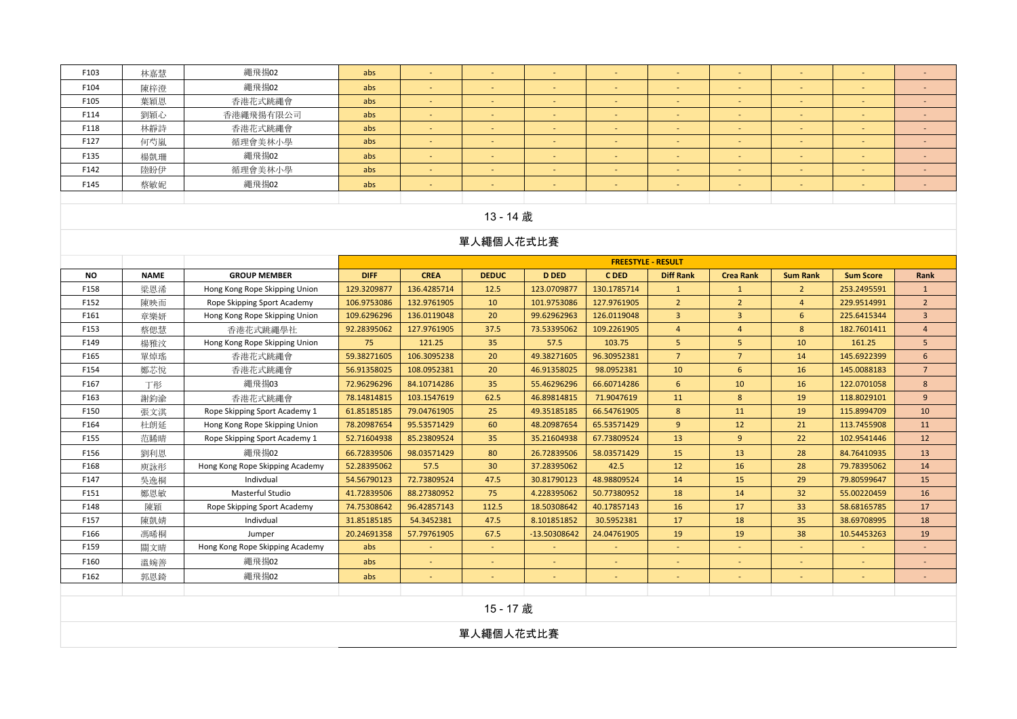| F103      | 林嘉慧                                                                                                                                                                                                                                                                                                                                                                                                                                                                                                                                                                                                                                                                                                                                                                                                      | 繩飛揚02                           | abs         | $\blacksquare$ | $\sim$          | $\sim$       | $\sim$      | $\sim$           | $\sim$           | $\sim$          | $\blacksquare$   | $\sim$          |  |  |  |
|-----------|----------------------------------------------------------------------------------------------------------------------------------------------------------------------------------------------------------------------------------------------------------------------------------------------------------------------------------------------------------------------------------------------------------------------------------------------------------------------------------------------------------------------------------------------------------------------------------------------------------------------------------------------------------------------------------------------------------------------------------------------------------------------------------------------------------|---------------------------------|-------------|----------------|-----------------|--------------|-------------|------------------|------------------|-----------------|------------------|-----------------|--|--|--|
| F104      | 陳梓澄                                                                                                                                                                                                                                                                                                                                                                                                                                                                                                                                                                                                                                                                                                                                                                                                      | 繩飛揚02                           | abs         |                |                 |              |             |                  |                  |                 |                  |                 |  |  |  |
| F105      | 葉穎恩                                                                                                                                                                                                                                                                                                                                                                                                                                                                                                                                                                                                                                                                                                                                                                                                      | 香港花式跳繩會                         | abs         |                |                 |              |             |                  |                  |                 |                  |                 |  |  |  |
| F114      | 劉穎心                                                                                                                                                                                                                                                                                                                                                                                                                                                                                                                                                                                                                                                                                                                                                                                                      | 香港繩飛揚有限公司                       | abs         | ÷.             |                 |              |             |                  |                  |                 |                  | ÷.              |  |  |  |
| F118      | 林靜詩                                                                                                                                                                                                                                                                                                                                                                                                                                                                                                                                                                                                                                                                                                                                                                                                      | 香港花式跳繩會                         | abs         | $\sim$         | $\sim$          | $\sim$       | $\sim$      | $\sim$           | $\sim$           | $\sim$          | $\sim$           | $\sim$          |  |  |  |
| F127      | 何芍嵐                                                                                                                                                                                                                                                                                                                                                                                                                                                                                                                                                                                                                                                                                                                                                                                                      | 循理會美林小學                         | abs         |                |                 | $\sim$       | ÷           |                  |                  |                 | $\blacksquare$   |                 |  |  |  |
| F135      | 楊凱珊                                                                                                                                                                                                                                                                                                                                                                                                                                                                                                                                                                                                                                                                                                                                                                                                      | 繩飛揚02                           | abs         | $\sim$         |                 |              |             |                  |                  |                 | $\sim$           | $\sim$          |  |  |  |
| F142      | 陸盼伊                                                                                                                                                                                                                                                                                                                                                                                                                                                                                                                                                                                                                                                                                                                                                                                                      | 循理會美林小學                         | abs         |                |                 |              |             |                  |                  |                 |                  |                 |  |  |  |
| F145      | 蔡敏妮                                                                                                                                                                                                                                                                                                                                                                                                                                                                                                                                                                                                                                                                                                                                                                                                      | 繩飛揚02                           | abs         | ÷,             | ÷.              |              |             | $\sim$           |                  | $\omega$        | ä,               | ÷.              |  |  |  |
|           |                                                                                                                                                                                                                                                                                                                                                                                                                                                                                                                                                                                                                                                                                                                                                                                                          |                                 |             |                |                 |              |             |                  |                  |                 |                  |                 |  |  |  |
|           |                                                                                                                                                                                                                                                                                                                                                                                                                                                                                                                                                                                                                                                                                                                                                                                                          |                                 |             |                | 13 - 14 歲       |              |             |                  |                  |                 |                  |                 |  |  |  |
|           |                                                                                                                                                                                                                                                                                                                                                                                                                                                                                                                                                                                                                                                                                                                                                                                                          |                                 |             |                | 單人繩個人花式比賽       |              |             |                  |                  |                 |                  |                 |  |  |  |
|           |                                                                                                                                                                                                                                                                                                                                                                                                                                                                                                                                                                                                                                                                                                                                                                                                          |                                 |             |                |                 |              |             |                  |                  |                 |                  |                 |  |  |  |
| <b>NO</b> | <b>NAME</b>                                                                                                                                                                                                                                                                                                                                                                                                                                                                                                                                                                                                                                                                                                                                                                                              | <b>GROUP MEMBER</b>             | <b>DIFF</b> | <b>CREA</b>    | <b>DEDUC</b>    | <b>D DED</b> | <b>CDED</b> | <b>Diff Rank</b> | <b>Crea Rank</b> | <b>Sum Rank</b> | <b>Sum Score</b> | Rank            |  |  |  |
| F158      | <b>FREESTYLE - RESULT</b><br>梁恩浠<br>Hong Kong Rope Skipping Union<br>129.3209877<br>136.4285714<br>12.5<br>123.0709877<br>130.1785714<br>$\mathbf{1}$<br>$2^{\circ}$<br>253.2495591<br>$\mathbf{1}$<br>$\mathbf{1}$<br>$\overline{2}$<br>132.9761905<br>10<br>101.9753086<br>127.9761905<br>$\overline{2}$<br>$\overline{4}$<br>$\overline{2}$<br>F152<br>陳映而<br>Rope Skipping Sport Academy<br>106.9753086<br>229.9514991<br>109.6296296<br>136.0119048<br>20<br>99.62962963<br>126.0119048<br>$\mathbf{3}$<br>F161<br>章樂妍<br>Hong Kong Rope Skipping Union<br>$\overline{3}$<br>6<br>225.6415344<br>$\mathbf{3}$<br>37.5<br>$\overline{4}$<br>$8\phantom{1}$<br>$\overline{4}$<br>F153<br>92.28395062<br>127.9761905<br>73.53395062<br>109.2261905<br>$\overline{4}$<br>182.7601411<br>蔡偲慧<br>香港花式跳繩學社 |                                 |             |                |                 |              |             |                  |                  |                 |                  |                 |  |  |  |
|           |                                                                                                                                                                                                                                                                                                                                                                                                                                                                                                                                                                                                                                                                                                                                                                                                          |                                 |             |                |                 |              |             |                  |                  |                 |                  |                 |  |  |  |
|           | 75<br>5 <sup>5</sup><br>F149<br>楊雅汶<br>121.25<br>35<br>57.5<br>103.75<br>5<br>10<br>161.25<br>5<br>Hong Kong Rope Skipping Union                                                                                                                                                                                                                                                                                                                                                                                                                                                                                                                                                                                                                                                                         |                                 |             |                |                 |              |             |                  |                  |                 |                  |                 |  |  |  |
|           |                                                                                                                                                                                                                                                                                                                                                                                                                                                                                                                                                                                                                                                                                                                                                                                                          |                                 |             |                |                 |              |             |                  |                  |                 |                  |                 |  |  |  |
|           |                                                                                                                                                                                                                                                                                                                                                                                                                                                                                                                                                                                                                                                                                                                                                                                                          |                                 |             |                |                 |              |             |                  |                  |                 |                  |                 |  |  |  |
| F165      | 單焯瑤                                                                                                                                                                                                                                                                                                                                                                                                                                                                                                                                                                                                                                                                                                                                                                                                      | 香港花式跳繩會                         | 59.38271605 | 106.3095238    | 20              | 49.38271605  | 96.30952381 | $\overline{7}$   | $\overline{7}$   | 14              | 145.6922399      | 6               |  |  |  |
| F154      | 鄭芯悅                                                                                                                                                                                                                                                                                                                                                                                                                                                                                                                                                                                                                                                                                                                                                                                                      | 香港花式跳繩會                         | 56.91358025 | 108.0952381    | 20              | 46.91358025  | 98.0952381  | 10               | 6                | 16              | 145.0088183      | $7\overline{ }$ |  |  |  |
| F167      | 繩飛揚03<br>84.10714286<br>35<br>66.60714286<br>10<br>$8\phantom{1}$<br>丁彤<br>72.96296296<br>55.46296296<br>6<br>16<br>122.0701058<br>62.5<br>71.9047619<br>8<br>9<br>F163<br>謝鈞渝<br>香港花式跳繩會<br>78.14814815<br>103.1547619<br>46.89814815<br>11<br>19<br>118.8029101<br>25<br>49.35185185<br>66.54761905<br>8<br>11<br>19<br>F150<br>Rope Skipping Sport Academy 1<br>61.85185185<br>79.04761905<br>115.8994709<br>10<br>張文淇                                                                                                                                                                                                                                                                                                                                                                                |                                 |             |                |                 |              |             |                  |                  |                 |                  |                 |  |  |  |
|           |                                                                                                                                                                                                                                                                                                                                                                                                                                                                                                                                                                                                                                                                                                                                                                                                          |                                 |             |                |                 |              |             |                  |                  |                 |                  |                 |  |  |  |
|           |                                                                                                                                                                                                                                                                                                                                                                                                                                                                                                                                                                                                                                                                                                                                                                                                          |                                 |             |                |                 |              |             |                  |                  |                 |                  |                 |  |  |  |
| F164      | 杜朗延                                                                                                                                                                                                                                                                                                                                                                                                                                                                                                                                                                                                                                                                                                                                                                                                      | Hong Kong Rope Skipping Union   | 78.20987654 | 95.53571429    | 60              | 48.20987654  | 65.53571429 | 9                | 12               | 21              | 113.7455908      | 11              |  |  |  |
| F155      | 范睎晴                                                                                                                                                                                                                                                                                                                                                                                                                                                                                                                                                                                                                                                                                                                                                                                                      | Rope Skipping Sport Academy 1   | 52.71604938 | 85.23809524    | 35              | 35.21604938  | 67.73809524 | 13               | 9                | 22              | 102.9541446      | 12              |  |  |  |
| F156      | 劉利恩                                                                                                                                                                                                                                                                                                                                                                                                                                                                                                                                                                                                                                                                                                                                                                                                      | 繩飛揚02                           | 66.72839506 | 98.03571429    | 80              | 26.72839506  | 58.03571429 | 15               | 13               | 28              | 84.76410935      | 13              |  |  |  |
| F168      | 庾詠彤                                                                                                                                                                                                                                                                                                                                                                                                                                                                                                                                                                                                                                                                                                                                                                                                      | Hong Kong Rope Skipping Academy | 52.28395062 | 57.5           | 30 <sup>°</sup> | 37.28395062  | 42.5        | 12               | 16               | 28              | 79.78395062      | 14              |  |  |  |
| F147      | 吳逸桐                                                                                                                                                                                                                                                                                                                                                                                                                                                                                                                                                                                                                                                                                                                                                                                                      | Indivdual                       | 54.56790123 | 72.73809524    | 47.5            | 30.81790123  | 48.98809524 | 14               | 15               | 29              | 79.80599647      | 15              |  |  |  |
| F151      | 鄭恩敏                                                                                                                                                                                                                                                                                                                                                                                                                                                                                                                                                                                                                                                                                                                                                                                                      | Masterful Studio                | 41.72839506 | 88.27380952    | 75              | 4.228395062  | 50.77380952 | 18               | 14               | 32              | 55.00220459      | 16              |  |  |  |
| F148      | 陳穎                                                                                                                                                                                                                                                                                                                                                                                                                                                                                                                                                                                                                                                                                                                                                                                                       | Rope Skipping Sport Academy     | 74.75308642 | 96.42857143    | 112.5           | 18.50308642  | 40.17857143 | 16               | 17               | 33              | 58.68165785      | 17              |  |  |  |
| F157      | 陳凱婧                                                                                                                                                                                                                                                                                                                                                                                                                                                                                                                                                                                                                                                                                                                                                                                                      | Indivdual                       | 31.85185185 | 54.3452381     | 47.5            | 8.101851852  | 30.5952381  | 17               | 18               | 35              | 38.69708995      | 18              |  |  |  |
| F166      | 馮晞桐                                                                                                                                                                                                                                                                                                                                                                                                                                                                                                                                                                                                                                                                                                                                                                                                      | Jumper                          | 20.24691358 | 57.79761905    | 67.5            | -13.50308642 | 24.04761905 | 19               | 19               | 38              | 10.54453263      | 19              |  |  |  |
| F159      | 關文晴                                                                                                                                                                                                                                                                                                                                                                                                                                                                                                                                                                                                                                                                                                                                                                                                      | Hong Kong Rope Skipping Academy | abs         | $\sim$         | $\sim$          |              | $\sim$      |                  | ٠                | $\sim$          | $\sim$           | ÷.              |  |  |  |
| F160      | 溫婉善                                                                                                                                                                                                                                                                                                                                                                                                                                                                                                                                                                                                                                                                                                                                                                                                      | 繩飛揚02                           | abs         |                |                 |              |             |                  |                  |                 |                  |                 |  |  |  |
| F162      | 郭恩錡                                                                                                                                                                                                                                                                                                                                                                                                                                                                                                                                                                                                                                                                                                                                                                                                      | 繩飛揚02                           | abs         |                |                 |              |             |                  |                  |                 |                  |                 |  |  |  |
|           |                                                                                                                                                                                                                                                                                                                                                                                                                                                                                                                                                                                                                                                                                                                                                                                                          |                                 |             |                |                 |              |             |                  |                  |                 |                  |                 |  |  |  |
|           |                                                                                                                                                                                                                                                                                                                                                                                                                                                                                                                                                                                                                                                                                                                                                                                                          |                                 |             |                | 15-17 歲         |              |             |                  |                  |                 |                  |                 |  |  |  |
|           |                                                                                                                                                                                                                                                                                                                                                                                                                                                                                                                                                                                                                                                                                                                                                                                                          |                                 |             |                | 單人繩個人花式比賽       |              |             |                  |                  |                 |                  |                 |  |  |  |
|           |                                                                                                                                                                                                                                                                                                                                                                                                                                                                                                                                                                                                                                                                                                                                                                                                          |                                 |             |                |                 |              |             |                  |                  |                 |                  |                 |  |  |  |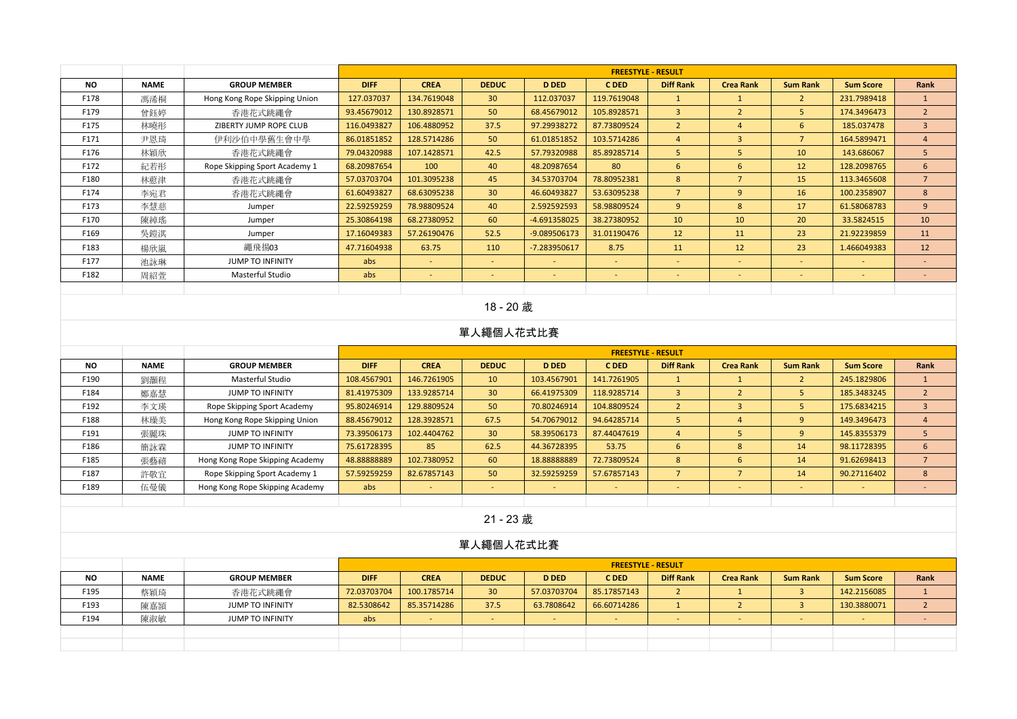|           |             |                               |             |             |                 |                          | <b>FREESTYLE - RESULT</b> |                          |                  |                          |                  |                |
|-----------|-------------|-------------------------------|-------------|-------------|-----------------|--------------------------|---------------------------|--------------------------|------------------|--------------------------|------------------|----------------|
| <b>NO</b> | <b>NAME</b> | <b>GROUP MEMBER</b>           | <b>DIFF</b> | <b>CREA</b> | <b>DEDUC</b>    | <b>D DED</b>             | C DED                     | <b>Diff Rank</b>         | <b>Crea Rank</b> | <b>Sum Rank</b>          | <b>Sum Score</b> | Rank           |
| F178      | 馮浠桐         | Hong Kong Rope Skipping Union | 127.037037  | 134.7619048 | 30 <sup>°</sup> | 112.037037               | 119.7619048               |                          |                  | $2^{\circ}$              | 231.7989418      |                |
| F179      | 曾鈺婷         | 香港花式跳繩會                       | 93.45679012 | 130.8928571 | 50              | 68.45679012              | 105.8928571               | $\overline{3}$           | $\overline{2}$   | 5.                       | 174.3496473      | $\overline{2}$ |
| F175      | 林曉彤         | ZIBERTY JUMP ROPE CLUB        | 116.0493827 | 106.4880952 | 37.5            | 97.29938272              | 87.73809524               | $\overline{2}$           | $\overline{4}$   | 6                        | 185.037478       | $\overline{3}$ |
| F171      | 尹恩琦         | 伊利沙伯中學舊生會中學                   | 86.01851852 | 128.5714286 | 50              | 61.01851852              | 103.5714286               | 4                        | $\overline{3}$   | $\overline{7}$           | 164.5899471      | $\overline{4}$ |
| F176      | 林穎欣         | 香港花式跳繩會                       | 79.04320988 | 107.1428571 | 42.5            | 57.79320988              | 85.89285714               | 5                        | 5                | 10                       | 143.686067       | 5              |
| F172      | 紀若形         | Rope Skipping Sport Academy 1 | 68.20987654 | 100         | 40              | 48.20987654              | 80                        | 6                        | 6                | 12                       | 128.2098765      | 6              |
| F180      | 林藯津         | 香港花式跳繩會                       | 57.03703704 | 101.3095238 | 45              | 34.53703704              | 78.80952381               | 8                        | $\overline{7}$   | 15                       | 113.3465608      | $\overline{7}$ |
| F174      | 李宛君         | 香港花式跳繩會                       | 61.60493827 | 68.63095238 | 30 <sup>°</sup> | 46.60493827              | 53.63095238               | $\overline{7}$           | -9               | 16                       | 100.2358907      | 8              |
| F173      | 李慧慈         | Jumper                        | 22.59259259 | 78.98809524 | 40              | 2.592592593              | 58.98809524               | 9                        | 8                | 17                       | 61.58068783      | 9              |
| F170      | 陳綽瑤         | Jumper                        | 25.30864198 | 68.27380952 | 60              | $-4.691358025$           | 38.27380952               | 10                       | 10               | 20                       | 33.5824515       | 10             |
| F169      | 吳鎧淇         | Jumper                        | 17.16049383 | 57.26190476 | 52.5            | $-9.089506173$           | 31.01190476               | 12                       | 11               | 23                       | 21.92239859      | 11             |
| F183      | 楊欣嵐         | 繩飛揚03                         | 47.71604938 | 63.75       | 110             | $-7.283950617$           | 8.75                      | 11                       | 12               | 23                       | 1.466049383      | 12             |
| F177      | 池詠琳         | <b>JUMP TO INFINITY</b>       | abs         | <b>м.</b>   | $\sim$          | $\sim$                   | $\sim$                    | $\sim$                   | $\sim$           | $\overline{\phantom{a}}$ | $\sim$           | $\sim$         |
| F182      | 周紹萱         | Masterful Studio              | abs         | $\sim$      |                 | $\overline{\phantom{a}}$ | $\overline{\phantom{a}}$  | $\overline{\phantom{0}}$ | $\sim$           | $\overline{\phantom{a}}$ | $\qquad \qquad$  |                |
|           |             |                               |             |             |                 |                          |                           |                          |                  |                          |                  |                |

## 18 - 20 歲

#### 單人繩個人花式比賽

|      |             |                                 |             |             |                          |              |             | <b>FREESTYLE - RESULT</b> |                  |                 |                  |      |
|------|-------------|---------------------------------|-------------|-------------|--------------------------|--------------|-------------|---------------------------|------------------|-----------------|------------------|------|
| NO.  | <b>NAME</b> | <b>GROUP MEMBER</b>             | <b>DIFF</b> | <b>CREA</b> | <b>DEDUC</b>             | <b>D DED</b> | C DED       | <b>Diff Rank</b>          | <b>Crea Rank</b> | <b>Sum Rank</b> | <b>Sum Score</b> | Rank |
| F190 | 劉灝程         | Masterful Studio                | 108.4567901 | 146.7261905 | 10 <sup>°</sup>          | 103.4567901  | 141.7261905 |                           |                  | ∠               | 245.1829806      |      |
| F184 | 鄭嘉慧         | <b>JUMP TO INFINITY</b>         | 81.41975309 | 133.9285714 | 30 <sup>°</sup>          | 66.41975309  | 118.9285714 |                           |                  |                 | 185.3483245      |      |
| F192 | 李文瑛         | Rope Skipping Sport Academy     | 95.80246914 | 129.8809524 | 50                       | 70.80246914  | 104.8809524 |                           |                  |                 | 175.6834215      |      |
| F188 | 林璪美         | Hong Kong Rope Skipping Union   | 88.45679012 | 128.3928571 | 67.5                     | 54.70679012  | 94.64285714 |                           |                  |                 | 149.3496473      |      |
| F191 | 張麗珠         | <b>JUMP TO INFINITY</b>         | 73.39506173 | 102.4404762 | 30 <sup>°</sup>          | 58.39506173  | 87.44047619 |                           |                  |                 | 145.8355379      |      |
| F186 | 簡詠霖         | <b>JUMP TO INFINITY</b>         | 75.61728395 | 85          | 62.5                     | 44.36728395  | 53.75       |                           |                  | 14              | 98.11728395      | 6    |
| F185 | 張藝禧         | Hong Kong Rope Skipping Academy | 48.88888889 | 102.7380952 | 60                       | 18.88888889  | 72.73809524 | 8                         |                  | 14              | 91.62698413      |      |
| F187 | 許敬宜         | Rope Skipping Sport Academy 1   | 57.59259259 | 82.67857143 | 50                       | 32.59259259  | 57.67857143 |                           |                  | 14              | 90.27116402      | 8    |
| F189 | 伍曼儀         | Hong Kong Rope Skipping Academy | abs         |             | $\overline{\phantom{a}}$ |              | -           |                           |                  |                 |                  |      |
|      |             |                                 |             |             |                          |              |             |                           |                  |                 |                  |      |

#### 21 - 23 歲

|           |             |                     |             |             |                 |              | <b>FREESTYLE - RESULT</b> |                  |                  |                 |                  |      |
|-----------|-------------|---------------------|-------------|-------------|-----------------|--------------|---------------------------|------------------|------------------|-----------------|------------------|------|
| <b>NO</b> | <b>NAME</b> | <b>GROUP MEMBER</b> | <b>DIFF</b> | <b>CREA</b> | <b>DEDUC</b>    | <b>D DED</b> | C DED                     | <b>Diff Rank</b> | <b>Crea Rank</b> | <b>Sum Rank</b> | <b>Sum Score</b> | Rank |
| F195      | 蔡穎琦         | 香港花式跳繩會             | 72.03703704 | 100.1785714 | 30 <sup>°</sup> | 57.03703704  | 85.17857143               |                  |                  |                 | 142.2156085      |      |
| F193      | 陳嘉頴         | JUMP TO INFINITY    | 82.5308642  | 85.35714286 | 37.5            | 63.7808642   | 66.60714286               |                  |                  |                 | 130.3880071      |      |
| F194      | 陳淑敏         | JUMP TO INFINITY    | abs         |             | $\sim$          |              | -                         |                  | . .              |                 |                  |      |
|           |             |                     |             |             |                 |              |                           |                  |                  |                 |                  |      |
|           |             |                     |             |             |                 |              |                           |                  |                  |                 |                  |      |